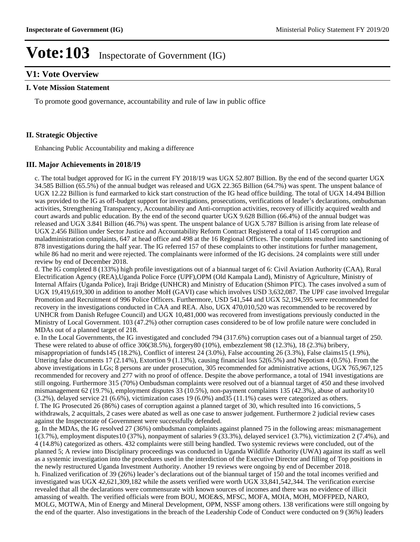### **V1: Vote Overview**

#### **I. Vote Mission Statement**

To promote good governance, accountability and rule of law in public office

#### **II. Strategic Objective**

Enhancing Public Accountability and making a difference

#### **III. Major Achievements in 2018/19**

c. The total budget approved for IG in the current FY 2018/19 was UGX 52.807 Billion. By the end of the second quarter UGX 34.585 Billion (65.5%) of the annual budget was released and UGX 22.365 Billion (64.7%) was spent. The unspent balance of UGX 12.22 Billion is fund earmarked to kick start construction of the IG head office building. The total of UGX 14.494 Billion was provided to the IG as off-budget support for investigations, prosecutions, verifications of leader's declarations, ombudsman activities, Strengthening Transparency, Accountability and Anti-corruption activities, recovery of illicitly acquired wealth and court awards and public education. By the end of the second quarter UGX 9.628 Billion (66.4%) of the annual budget was released and UGX 3.841 Billion (46.7%) was spent. The unspent balance of UGX 5.787 Billion is arising from late release of UGX 2.456 Billion under Sector Justice and Accountability Reform Contract Registered a total of 1145 corruption and maladministration complaints, 647 at head office and 498 at the 16 Regional Offices. The complaints resulted into sanctioning of 878 investigations during the half year. The IG referred 157 of these complaints to other institutions for further management, while 86 had no merit and were rejected. The complainants were informed of the IG decisions. 24 complaints were still under review by end of December 2018.

d. The IG completed 8 (133%) high profile investigations out of a biannual target of 6: Civil Aviation Authority (CAA), Rural Electrification Agency (REA),Uganda Police Force (UPF),OPM (Old Kampala Land), Ministry of Agriculture, Ministry of Internal Affairs (Uganda Police), Iraji Bridge (UNHCR) and Ministry of Education (Shimon PTC). The cases involved a sum of UGX 19,419,619,300 in addition to another MoH (GAVI) case which involves USD 3,632,087. The UPF case involved Irregular Promotion and Recruitment of 996 Police Officers. Furthermore, USD 541,544 and UGX 52,194,595 were recommended for recovery in the investigations conducted in CAA and REA. Also, UGX 470,010,520 was recommended to be recovered by UNHCR from Danish Refugee Council) and UGX 10,481,000 was recovered from investigations previously conducted in the Ministry of Local Government. 103 (47.2%) other corruption cases considered to be of low profile nature were concluded in MDAs out of a planned target of 218.

e. In the Local Governments, the IG investigated and concluded 794 (317.6%) corruption cases out of a biannual target of 250. These were related to abuse of office 306(38.5%), forgery80 (10%), embezzlement 98 (12.3%), 18 (2.3%) bribery, misappropriation of funds145 (18.2%), Conflict of interest 24 (3.0%), False accounting 26 (3.3%), False claims15 (1.9%), Uttering false documents 17 (2.14%), Extortion 9 (1.13%), causing financial loss 52(6.5%) and Nepotism 4 (0.5%). From the above investigations in LGs; 8 persons are under prosecution, 305 recommended for administrative actions, UGX 765,967,125 recommended for recovery and 277 with no proof of offence. Despite the above performance, a total of 1941 investigations are still ongoing. Furthermore 315 (70%) Ombudsman complaints were resolved out of a biannual target of 450 and these involved mismanagement 62 (19.7%), employment disputes 33 (10.5%), non-payment complaints 135 (42.3%), abuse of authority10 (3.2%), delayed service 21 (6.6%), victimization cases 19 (6.0%) and35 (11.1%) cases were categorized as others. f. The IG Prosecuted 26 (86%) cases of corruption against a planned target of 30, which resulted into 16 convictions, 5 withdrawals, 2 acquittals, 2 cases were abated as well as one case to answer judgement. Furthermore 2 judicial review cases against the Inspectorate of Government were successfully defended.

g. In the MDAs, the IG resolved 27 (36%) ombudsman complaints against planned 75 in the following areas: mismanagement 1(3.7%), employment disputes10 (37%), nonpayment of salaries 9 (33.3%), delayed service1 (3.7%), victimization 2 (7.4%), and 4 (14.8%) categorized as others. 432 complaints were still being handled. Two systemic reviews were concluded, out of the planned 5; A review into Disciplinary proceedings was conducted in Uganda Wildlife Authority (UWA) against its staff as well as a systemic investigation into the procedures used in the interdiction of the Executive Director and filling of Top positions in the newly restructured Uganda Investment Authority. Another 19 reviews were ongoing by end of December 2018. h. Finalized verification of 39 (26%) leader's declarations out of the biannual target of 150 and the total incomes verified and investigated was UGX 42,621,309,182 while the assets verified were worth UGX 33,841,542,344. The verification exercise revealed that all the declarations were commensurate with known sources of incomes and there was no evidence of illicit amassing of wealth. The verified officials were from BOU, MOE&S, MFSC, MOFA, MOIA, MOH, MOFFPED, NARO, MOLG, MOTWA, Min of Energy and Mineral Development, OPM, NSSF among others. 138 verifications were still ongoing by the end of the quarter. Also investigations in the breach of the Leadership Code of Conduct were conducted on 9 (36%) leaders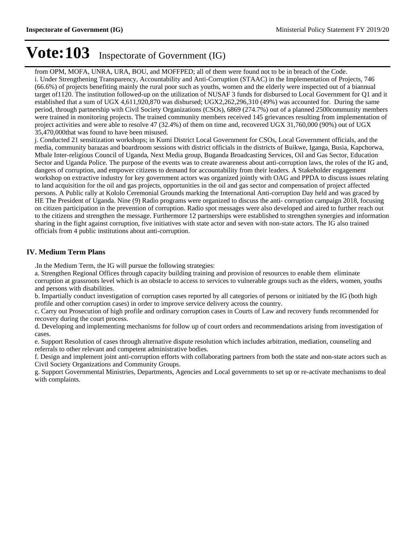from OPM, MOFA, UNRA, URA, BOU, and MOFFPED; all of them were found not to be in breach of the Code. i. Under Strengthening Transparency, Accountability and Anti-Corruption (STAAC) in the Implementation of Projects, 746 (66.6%) of projects benefiting mainly the rural poor such as youths, women and the elderly were inspected out of a biannual target of1120. The institution followed-up on the utilization of NUSAF 3 funds for disbursed to Local Government for Q1 and it established that a sum of UGX 4,611,920,870 was disbursed; UGX2,262,296,310 (49%) was accounted for. During the same period, through partnership with Civil Society Organizations (CSOs), 6869 (274.7%) out of a planned 2500community members were trained in monitoring projects. The trained community members received 145 grievances resulting from implementation of project activities and were able to resolve 47 (32.4%) of them on time and, recovered UGX 31,760,000 (90%) out of UGX 35,470,000that was found to have been misused.

j. Conducted 21 sensitization workshops; in Kumi District Local Government for CSOs, Local Government officials, and the media, community barazas and boardroom sessions with district officials in the districts of Buikwe, Iganga, Busia, Kapchorwa, Mbale Inter-religious Council of Uganda, Next Media group, Buganda Broadcasting Services, Oil and Gas Sector, Education Sector and Uganda Police. The purpose of the events was to create awareness about anti-corruption laws, the roles of the IG and, dangers of corruption, and empower citizens to demand for accountability from their leaders. A Stakeholder engagement workshop on extractive industry for key government actors was organized jointly with OAG and PPDA to discuss issues relating to land acquisition for the oil and gas projects, opportunities in the oil and gas sector and compensation of project affected persons. A Public rally at Kololo Ceremonial Grounds marking the International Anti-corruption Day held and was graced by HE The President of Uganda. Nine (9) Radio programs were organized to discuss the anti- corruption campaign 2018, focusing on citizen participation in the prevention of corruption. Radio spot messages were also developed and aired to further reach out to the citizens and strengthen the message. Furthermore 12 partnerships were established to strengthen synergies and information sharing in the fight against corruption, five initiatives with state actor and seven with non-state actors. The IG also trained officials from 4 public institutions about anti-corruption.

#### **IV. Medium Term Plans**

.In the Medium Term, the IG will pursue the following strategies:

a. Strengthen Regional Offices through capacity building training and provision of resources to enable them eliminate corruption at grassroots level which is an obstacle to access to services to vulnerable groups such as the elders, women, youths and persons with disabilities.

b. Impartially conduct investigation of corruption cases reported by all categories of persons or initiated by the IG (both high profile and other corruption cases) in order to improve service delivery across the country.

c. Carry out Prosecution of high profile and ordinary corruption cases in Courts of Law and recovery funds recommended for recovery during the court process.

d. Developing and implementing mechanisms for follow up of court orders and recommendations arising from investigation of cases.

e. Support Resolution of cases through alternative dispute resolution which includes arbitration, mediation, counseling and referrals to other relevant and competent administrative bodies.

f. Design and implement joint anti-corruption efforts with collaborating partners from both the state and non-state actors such as Civil Society Organizations and Community Groups.

g. Support Governmental Ministries, Departments, Agencies and Local governments to set up or re-activate mechanisms to deal with complaints.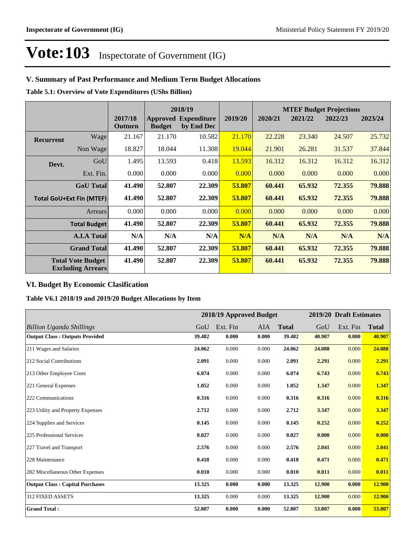### **V. Summary of Past Performance and Medium Term Budget Allocations**

**Table 5.1: Overview of Vote Expenditures (UShs Billion)**

|                  |                                                      |                    |               | 2018/19                                   |         |         |         | <b>MTEF Budget Projections</b> |         |
|------------------|------------------------------------------------------|--------------------|---------------|-------------------------------------------|---------|---------|---------|--------------------------------|---------|
|                  |                                                      | 2017/18<br>Outturn | <b>Budget</b> | <b>Approved Expenditure</b><br>by End Dec | 2019/20 | 2020/21 | 2021/22 | 2022/23                        | 2023/24 |
| <b>Recurrent</b> | Wage                                                 | 21.167             | 21.170        | 10.582                                    | 21.170  | 22.228  | 23.340  | 24.507                         | 25.732  |
|                  | Non Wage                                             | 18.827             | 18.044        | 11.308                                    | 19.044  | 21.901  | 26.281  | 31.537                         | 37.844  |
| Devt.            | GoU                                                  | 1.495              | 13.593        | 0.418                                     | 13.593  | 16.312  | 16.312  | 16.312                         | 16.312  |
|                  | Ext. Fin.                                            | 0.000              | 0.000         | 0.000                                     | 0.000   | 0.000   | 0.000   | 0.000                          | 0.000   |
|                  | <b>GoU</b> Total                                     | 41.490             | 52.807        | 22.309                                    | 53.807  | 60.441  | 65.932  | 72.355                         | 79.888  |
|                  | <b>Total GoU+Ext Fin (MTEF)</b>                      | 41.490             | 52.807        | 22.309                                    | 53.807  | 60.441  | 65.932  | 72.355                         | 79.888  |
|                  | Arrears                                              | 0.000              | 0.000         | 0.000                                     | 0.000   | 0.000   | 0.000   | 0.000                          | 0.000   |
|                  | <b>Total Budget</b>                                  | 41.490             | 52.807        | 22.309                                    | 53.807  | 60.441  | 65.932  | 72.355                         | 79.888  |
|                  | <b>A.I.A Total</b>                                   | N/A                | N/A           | N/A                                       | N/A     | N/A     | N/A     | N/A                            | N/A     |
|                  | <b>Grand Total</b>                                   | 41.490             | 52.807        | 22.309                                    | 53.807  | 60.441  | 65.932  | 72.355                         | 79.888  |
|                  | <b>Total Vote Budget</b><br><b>Excluding Arrears</b> | 41.490             | 52.807        | 22.309                                    | 53.807  | 60.441  | 65.932  | 72.355                         | 79.888  |

#### **VI. Budget By Economic Clasification**

**Table V6.1 2018/19 and 2019/20 Budget Allocations by Item**

|                                        |        |          | 2018/19 Approved Budget |              |        | 2019/20 Draft Estimates |              |
|----------------------------------------|--------|----------|-------------------------|--------------|--------|-------------------------|--------------|
| <b>Billion Uganda Shillings</b>        | GoU    | Ext. Fin | AIA                     | <b>Total</b> | GoU    | Ext. Fin                | <b>Total</b> |
| <b>Output Class: Outputs Provided</b>  | 39.482 | 0.000    | 0.000                   | 39.482       | 40.907 | 0.000                   | 40.907       |
| 211 Wages and Salaries                 | 24.062 | 0.000    | 0.000                   | 24.062       | 24.088 | 0.000                   | 24.088       |
| 212 Social Contributions               | 2.091  | 0.000    | 0.000                   | 2.091        | 2.291  | 0.000                   | 2.291        |
| 213 Other Employee Costs               | 6.074  | 0.000    | 0.000                   | 6.074        | 6.743  | 0.000                   | 6.743        |
| 221 General Expenses                   | 1.052  | 0.000    | 0.000                   | 1.052        | 1.347  | 0.000                   | 1.347        |
| 222 Communications                     | 0.316  | 0.000    | 0.000                   | 0.316        | 0.316  | 0.000                   | 0.316        |
| 223 Utility and Property Expenses      | 2.712  | 0.000    | 0.000                   | 2.712        | 3.347  | 0.000                   | 3.347        |
| 224 Supplies and Services              | 0.145  | 0.000    | 0.000                   | 0.145        | 0.252  | 0.000                   | 0.252        |
| 225 Professional Services              | 0.027  | 0.000    | 0.000                   | 0.027        | 0.000  | 0.000                   | 0.000        |
| 227 Travel and Transport               | 2.576  | 0.000    | 0.000                   | 2.576        | 2.041  | 0.000                   | 2.041        |
| 228 Maintenance                        | 0.418  | 0.000    | 0.000                   | 0.418        | 0.471  | 0.000                   | 0.471        |
| 282 Miscellaneous Other Expenses       | 0.010  | 0.000    | 0.000                   | 0.010        | 0.011  | 0.000                   | 0.011        |
| <b>Output Class: Capital Purchases</b> | 13.325 | 0.000    | 0.000                   | 13.325       | 12.900 | 0.000                   | 12.900       |
| 312 FIXED ASSETS                       | 13.325 | 0.000    | 0.000                   | 13.325       | 12.900 | 0.000                   | 12.900       |
| <b>Grand Total:</b>                    | 52.807 | 0.000    | 0.000                   | 52.807       | 53.807 | 0.000                   | 53.807       |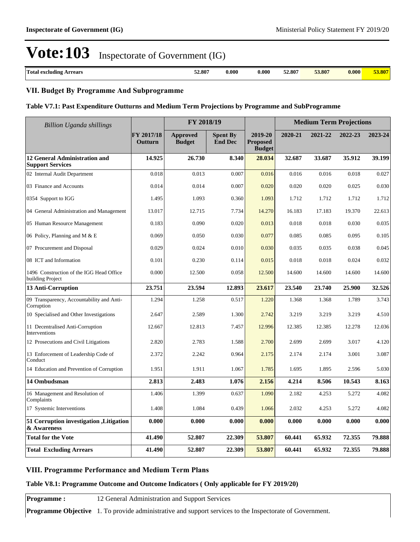| Total excluding<br>Arrears<br>. | 52.807<br>. | 0.000 | $\boldsymbol{0.000}$ | 52.807<br>. | 53.807 | 0.000 | 2000 F |
|---------------------------------|-------------|-------|----------------------|-------------|--------|-------|--------|

### **VII. Budget By Programme And Subprogramme**

#### **Table V7.1: Past Expenditure Outturns and Medium Term Projections by Programme and SubProgramme**

| <b>Billion Uganda shillings</b>                              |                       | FY 2018/19                       |                                   |                                             | <b>Medium Term Projections</b> |         |         |         |
|--------------------------------------------------------------|-----------------------|----------------------------------|-----------------------------------|---------------------------------------------|--------------------------------|---------|---------|---------|
|                                                              | FY 2017/18<br>Outturn | <b>Approved</b><br><b>Budget</b> | <b>Spent By</b><br><b>End Dec</b> | 2019-20<br><b>Proposed</b><br><b>Budget</b> | 2020-21                        | 2021-22 | 2022-23 | 2023-24 |
| 12 General Administration and<br><b>Support Services</b>     | 14.925                | 26.730                           | 8.340                             | 28.034                                      | 32.687                         | 33.687  | 35.912  | 39.199  |
| 02 Internal Audit Department                                 | 0.018                 | 0.013                            | 0.007                             | 0.016                                       | 0.016                          | 0.016   | 0.018   | 0.027   |
| 03 Finance and Accounts                                      | 0.014                 | 0.014                            | 0.007                             | 0.020                                       | 0.020                          | 0.020   | 0.025   | 0.030   |
| 0354 Support to IGG                                          | 1.495                 | 1.093                            | 0.360                             | 1.093                                       | 1.712                          | 1.712   | 1.712   | 1.712   |
| 04 General Administration and Management                     | 13.017                | 12.715                           | 7.734                             | 14.270                                      | 16.183                         | 17.183  | 19.370  | 22.613  |
| 05 Human Resource Management                                 | 0.183                 | 0.090                            | 0.020                             | 0.013                                       | 0.018                          | 0.018   | 0.030   | 0.035   |
| 06 Policy, Planning and M & E                                | 0.069                 | 0.050                            | 0.030                             | 0.077                                       | 0.085                          | 0.085   | 0.095   | 0.105   |
| 07 Procurement and Disposal                                  | 0.029                 | 0.024                            | 0.010                             | 0.030                                       | 0.035                          | 0.035   | 0.038   | 0.045   |
| 08 ICT and Information                                       | 0.101                 | 0.230                            | 0.114                             | 0.015                                       | 0.018                          | 0.018   | 0.024   | 0.032   |
| 1496 Construction of the IGG Head Office<br>building Project | 0.000                 | 12.500                           | 0.058                             | 12.500                                      | 14.600                         | 14.600  | 14.600  | 14.600  |
| 13 Anti-Corruption                                           | 23.751                | 23.594                           | 12.893                            | 23.617                                      | 23.540                         | 23.740  | 25.900  | 32.526  |
| 09 Transparency, Accountability and Anti-<br>Corruption      | 1.294                 | 1.258                            | 0.517                             | 1.220                                       | 1.368                          | 1.368   | 1.789   | 3.743   |
| 10 Specialised and Other Investigations                      | 2.647                 | 2.589                            | 1.300                             | 2.742                                       | 3.219                          | 3.219   | 3.219   | 4.510   |
| 11 Decentralised Anti-Corruption<br>Interventions            | 12.667                | 12.813                           | 7.457                             | 12.996                                      | 12.385                         | 12.385  | 12.278  | 12.036  |
| 12 Prosecutions and Civil Litigations                        | 2.820                 | 2.783                            | 1.588                             | 2.700                                       | 2.699                          | 2.699   | 3.017   | 4.120   |
| 13 Enforcement of Leadership Code of<br>Conduct              | 2.372                 | 2.242                            | 0.964                             | 2.175                                       | 2.174                          | 2.174   | 3.001   | 3.087   |
| 14 Education and Prevention of Corruption                    | 1.951                 | 1.911                            | 1.067                             | 1.785                                       | 1.695                          | 1.895   | 2.596   | 5.030   |
| 14 Ombudsman                                                 | 2.813                 | 2.483                            | 1.076                             | 2.156                                       | 4.214                          | 8.506   | 10.543  | 8.163   |
| 16 Management and Resolution of<br>Complaints                | 1.406                 | 1.399                            | 0.637                             | 1.090                                       | 2.182                          | 4.253   | 5.272   | 4.082   |
| 17 Systemic Interventions                                    | 1.408                 | 1.084                            | 0.439                             | 1.066                                       | 2.032                          | 4.253   | 5.272   | 4.082   |
| 51 Corruption investigation , Litigation<br>& Awareness      | 0.000                 | 0.000                            | 0.000                             | 0.000                                       | 0.000                          | 0.000   | 0.000   | 0.000   |
| <b>Total for the Vote</b>                                    | 41.490                | 52.807                           | 22.309                            | 53.807                                      | 60.441                         | 65.932  | 72.355  | 79.888  |
| <b>Total Excluding Arrears</b>                               | 41.490                | 52.807                           | 22.309                            | 53.807                                      | 60.441                         | 65.932  | 72.355  | 79.888  |

#### **VIII. Programme Performance and Medium Term Plans**

#### **Table V8.1: Programme Outcome and Outcome Indicators ( Only applicable for FY 2019/20)**

**Programme :** 12 General Administration and Support Services

**Programme Objective** 1. To provide administrative and support services to the Inspectorate of Government.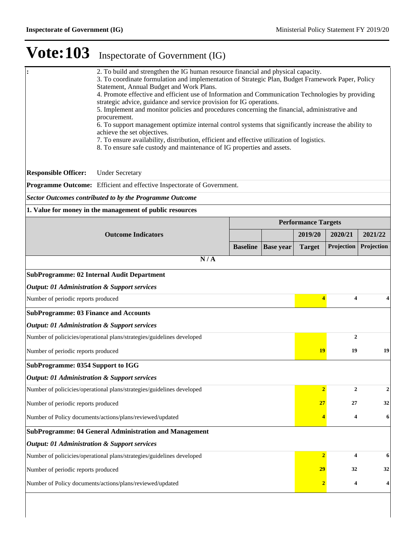| 2. To build and strengthen the IG human resource financial and physical capacity.<br>l:<br>3. To coordinate formulation and implementation of Strategic Plan, Budget Framework Paper, Policy<br>Statement, Annual Budget and Work Plans.<br>4. Promote effective and efficient use of Information and Communication Technologies by providing<br>strategic advice, guidance and service provision for IG operations.<br>5. Implement and monitor policies and procedures concerning the financial, administrative and<br>procurement.<br>6. To support management optimize internal control systems that significantly increase the ability to<br>achieve the set objectives.<br>7. To ensure availability, distribution, efficient and effective utilization of logistics.<br>8. To ensure safe custody and maintenance of IG properties and assets. |                                                                                                                            |                 |                  |                            |                  |             |  |  |
|-------------------------------------------------------------------------------------------------------------------------------------------------------------------------------------------------------------------------------------------------------------------------------------------------------------------------------------------------------------------------------------------------------------------------------------------------------------------------------------------------------------------------------------------------------------------------------------------------------------------------------------------------------------------------------------------------------------------------------------------------------------------------------------------------------------------------------------------------------|----------------------------------------------------------------------------------------------------------------------------|-----------------|------------------|----------------------------|------------------|-------------|--|--|
| <b>Responsible Officer:</b>                                                                                                                                                                                                                                                                                                                                                                                                                                                                                                                                                                                                                                                                                                                                                                                                                           | <b>Under Secretary</b>                                                                                                     |                 |                  |                            |                  |             |  |  |
|                                                                                                                                                                                                                                                                                                                                                                                                                                                                                                                                                                                                                                                                                                                                                                                                                                                       | Programme Outcome: Efficient and effective Inspectorate of Government.                                                     |                 |                  |                            |                  |             |  |  |
|                                                                                                                                                                                                                                                                                                                                                                                                                                                                                                                                                                                                                                                                                                                                                                                                                                                       | <b>Sector Outcomes contributed to by the Programme Outcome</b><br>1. Value for money in the management of public resources |                 |                  |                            |                  |             |  |  |
|                                                                                                                                                                                                                                                                                                                                                                                                                                                                                                                                                                                                                                                                                                                                                                                                                                                       |                                                                                                                            |                 |                  | <b>Performance Targets</b> |                  |             |  |  |
|                                                                                                                                                                                                                                                                                                                                                                                                                                                                                                                                                                                                                                                                                                                                                                                                                                                       | <b>Outcome Indicators</b>                                                                                                  |                 |                  | 2019/20                    | 2020/21          | 2021/22     |  |  |
|                                                                                                                                                                                                                                                                                                                                                                                                                                                                                                                                                                                                                                                                                                                                                                                                                                                       |                                                                                                                            | <b>Baseline</b> | <b>Base</b> year | <b>Target</b>              | Projection       | Projection  |  |  |
|                                                                                                                                                                                                                                                                                                                                                                                                                                                                                                                                                                                                                                                                                                                                                                                                                                                       | N/A                                                                                                                        |                 |                  |                            |                  |             |  |  |
|                                                                                                                                                                                                                                                                                                                                                                                                                                                                                                                                                                                                                                                                                                                                                                                                                                                       | <b>SubProgramme: 02 Internal Audit Department</b>                                                                          |                 |                  |                            |                  |             |  |  |
| <b>Output: 01 Administration &amp; Support services</b>                                                                                                                                                                                                                                                                                                                                                                                                                                                                                                                                                                                                                                                                                                                                                                                               |                                                                                                                            |                 |                  |                            |                  |             |  |  |
| Number of periodic reports produced                                                                                                                                                                                                                                                                                                                                                                                                                                                                                                                                                                                                                                                                                                                                                                                                                   |                                                                                                                            |                 |                  | $\overline{\mathbf{4}}$    | 4                |             |  |  |
| <b>SubProgramme: 03 Finance and Accounts</b>                                                                                                                                                                                                                                                                                                                                                                                                                                                                                                                                                                                                                                                                                                                                                                                                          |                                                                                                                            |                 |                  |                            |                  |             |  |  |
| <b>Output: 01 Administration &amp; Support services</b>                                                                                                                                                                                                                                                                                                                                                                                                                                                                                                                                                                                                                                                                                                                                                                                               |                                                                                                                            |                 |                  |                            |                  |             |  |  |
|                                                                                                                                                                                                                                                                                                                                                                                                                                                                                                                                                                                                                                                                                                                                                                                                                                                       | Number of policicies/operational plans/strategies/guidelines developed                                                     |                 |                  |                            | $\boldsymbol{2}$ |             |  |  |
| Number of periodic reports produced                                                                                                                                                                                                                                                                                                                                                                                                                                                                                                                                                                                                                                                                                                                                                                                                                   |                                                                                                                            |                 |                  | <b>19</b>                  | 19               | 19          |  |  |
| <b>SubProgramme: 0354 Support to IGG</b>                                                                                                                                                                                                                                                                                                                                                                                                                                                                                                                                                                                                                                                                                                                                                                                                              |                                                                                                                            |                 |                  |                            |                  |             |  |  |
| <b>Output: 01 Administration &amp; Support services</b>                                                                                                                                                                                                                                                                                                                                                                                                                                                                                                                                                                                                                                                                                                                                                                                               |                                                                                                                            |                 |                  |                            |                  |             |  |  |
|                                                                                                                                                                                                                                                                                                                                                                                                                                                                                                                                                                                                                                                                                                                                                                                                                                                       | Number of policicies/operational plans/strategies/guidelines developed                                                     |                 |                  |                            | 2                | $\mathbf 2$ |  |  |
| Number of periodic reports produced                                                                                                                                                                                                                                                                                                                                                                                                                                                                                                                                                                                                                                                                                                                                                                                                                   |                                                                                                                            |                 |                  | 27                         | 27               | 32          |  |  |
|                                                                                                                                                                                                                                                                                                                                                                                                                                                                                                                                                                                                                                                                                                                                                                                                                                                       | Number of Policy documents/actions/plans/reviewed/updated<br>4<br>6                                                        |                 |                  |                            |                  |             |  |  |
|                                                                                                                                                                                                                                                                                                                                                                                                                                                                                                                                                                                                                                                                                                                                                                                                                                                       | <b>SubProgramme: 04 General Administration and Management</b>                                                              |                 |                  |                            |                  |             |  |  |
| <b>Output: 01 Administration &amp; Support services</b>                                                                                                                                                                                                                                                                                                                                                                                                                                                                                                                                                                                                                                                                                                                                                                                               |                                                                                                                            |                 |                  |                            |                  |             |  |  |
|                                                                                                                                                                                                                                                                                                                                                                                                                                                                                                                                                                                                                                                                                                                                                                                                                                                       | Number of policicies/operational plans/strategies/guidelines developed                                                     |                 |                  | $\overline{2}$             | 4                | 6           |  |  |
| Number of periodic reports produced                                                                                                                                                                                                                                                                                                                                                                                                                                                                                                                                                                                                                                                                                                                                                                                                                   |                                                                                                                            |                 |                  | 29                         | 32               | 32          |  |  |
|                                                                                                                                                                                                                                                                                                                                                                                                                                                                                                                                                                                                                                                                                                                                                                                                                                                       | Number of Policy documents/actions/plans/reviewed/updated                                                                  |                 |                  |                            | 4                |             |  |  |
|                                                                                                                                                                                                                                                                                                                                                                                                                                                                                                                                                                                                                                                                                                                                                                                                                                                       |                                                                                                                            |                 |                  |                            |                  |             |  |  |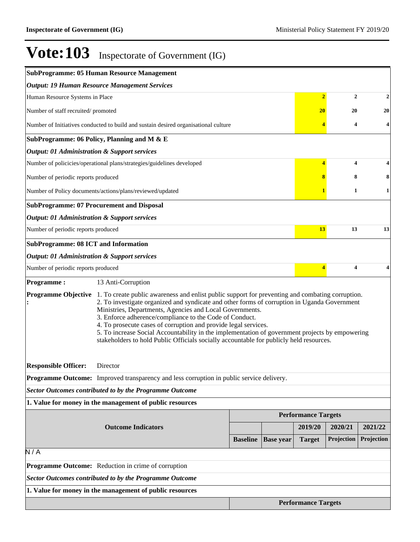|                                                          | <b>SubProgramme: 05 Human Resource Management</b>                                                                                                                                                                                                                                                                                                                                                                                                                                                                                                                                                                   |                 |                  |                            |              |            |
|----------------------------------------------------------|---------------------------------------------------------------------------------------------------------------------------------------------------------------------------------------------------------------------------------------------------------------------------------------------------------------------------------------------------------------------------------------------------------------------------------------------------------------------------------------------------------------------------------------------------------------------------------------------------------------------|-----------------|------------------|----------------------------|--------------|------------|
|                                                          | <b>Output: 19 Human Resource Management Services</b>                                                                                                                                                                                                                                                                                                                                                                                                                                                                                                                                                                |                 |                  |                            |              |            |
| Human Resource Systems in Place                          |                                                                                                                                                                                                                                                                                                                                                                                                                                                                                                                                                                                                                     |                 |                  | $\overline{2}$             | $\mathbf{2}$ | 2          |
| Number of staff recruited/promoted                       |                                                                                                                                                                                                                                                                                                                                                                                                                                                                                                                                                                                                                     |                 |                  | 20                         | 20           | 20         |
|                                                          | Number of Initiatives conducted to build and sustain desired organisational culture                                                                                                                                                                                                                                                                                                                                                                                                                                                                                                                                 |                 |                  |                            | 4            | 4          |
|                                                          | SubProgramme: 06 Policy, Planning and M & E                                                                                                                                                                                                                                                                                                                                                                                                                                                                                                                                                                         |                 |                  |                            |              |            |
| <b>Output: 01 Administration &amp; Support services</b>  |                                                                                                                                                                                                                                                                                                                                                                                                                                                                                                                                                                                                                     |                 |                  |                            |              |            |
|                                                          | Number of policicies/operational plans/strategies/guidelines developed                                                                                                                                                                                                                                                                                                                                                                                                                                                                                                                                              |                 |                  | 4                          | 4            |            |
| Number of periodic reports produced                      |                                                                                                                                                                                                                                                                                                                                                                                                                                                                                                                                                                                                                     |                 |                  |                            | 8            |            |
|                                                          | Number of Policy documents/actions/plans/reviewed/updated                                                                                                                                                                                                                                                                                                                                                                                                                                                                                                                                                           |                 |                  |                            | 1            | 1          |
|                                                          | <b>SubProgramme: 07 Procurement and Disposal</b>                                                                                                                                                                                                                                                                                                                                                                                                                                                                                                                                                                    |                 |                  |                            |              |            |
| <b>Output: 01 Administration &amp; Support services</b>  |                                                                                                                                                                                                                                                                                                                                                                                                                                                                                                                                                                                                                     |                 |                  |                            |              |            |
| Number of periodic reports produced                      |                                                                                                                                                                                                                                                                                                                                                                                                                                                                                                                                                                                                                     |                 |                  | 13                         | 13           | 13         |
| <b>SubProgramme: 08 ICT and Information</b>              |                                                                                                                                                                                                                                                                                                                                                                                                                                                                                                                                                                                                                     |                 |                  |                            |              |            |
| <b>Output: 01 Administration &amp; Support services</b>  |                                                                                                                                                                                                                                                                                                                                                                                                                                                                                                                                                                                                                     |                 |                  |                            |              |            |
| Number of periodic reports produced                      |                                                                                                                                                                                                                                                                                                                                                                                                                                                                                                                                                                                                                     |                 |                  | 4                          | 4            |            |
| <b>Programme:</b>                                        | 13 Anti-Corruption                                                                                                                                                                                                                                                                                                                                                                                                                                                                                                                                                                                                  |                 |                  |                            |              |            |
|                                                          | <b>Programme Objective</b> 1. To create public awareness and enlist public support for preventing and combating corruption.<br>2. To investigate organized and syndicate and other forms of corruption in Uganda Government<br>Ministries, Departments, Agencies and Local Governments.<br>3. Enforce adherence/compliance to the Code of Conduct.<br>4. To prosecute cases of corruption and provide legal services.<br>5. To increase Social Accountability in the implementation of government projects by empowering<br>stakeholders to hold Public Officials socially accountable for publicly held resources. |                 |                  |                            |              |            |
| <b>Responsible Officer:</b>                              | Director                                                                                                                                                                                                                                                                                                                                                                                                                                                                                                                                                                                                            |                 |                  |                            |              |            |
|                                                          | Programme Outcome: Improved transparency and less corruption in public service delivery.                                                                                                                                                                                                                                                                                                                                                                                                                                                                                                                            |                 |                  |                            |              |            |
|                                                          | <b>Sector Outcomes contributed to by the Programme Outcome</b>                                                                                                                                                                                                                                                                                                                                                                                                                                                                                                                                                      |                 |                  |                            |              |            |
|                                                          | 1. Value for money in the management of public resources                                                                                                                                                                                                                                                                                                                                                                                                                                                                                                                                                            |                 |                  |                            |              |            |
|                                                          |                                                                                                                                                                                                                                                                                                                                                                                                                                                                                                                                                                                                                     |                 |                  | <b>Performance Targets</b> |              |            |
|                                                          | <b>Outcome Indicators</b>                                                                                                                                                                                                                                                                                                                                                                                                                                                                                                                                                                                           |                 |                  | 2019/20                    | 2020/21      | 2021/22    |
|                                                          |                                                                                                                                                                                                                                                                                                                                                                                                                                                                                                                                                                                                                     | <b>Baseline</b> | <b>Base year</b> | <b>Target</b>              | Projection   | Projection |
| N/A                                                      |                                                                                                                                                                                                                                                                                                                                                                                                                                                                                                                                                                                                                     |                 |                  |                            |              |            |
|                                                          | Programme Outcome: Reduction in crime of corruption                                                                                                                                                                                                                                                                                                                                                                                                                                                                                                                                                                 |                 |                  |                            |              |            |
|                                                          | <b>Sector Outcomes contributed to by the Programme Outcome</b>                                                                                                                                                                                                                                                                                                                                                                                                                                                                                                                                                      |                 |                  |                            |              |            |
| 1. Value for money in the management of public resources |                                                                                                                                                                                                                                                                                                                                                                                                                                                                                                                                                                                                                     |                 |                  |                            |              |            |
|                                                          |                                                                                                                                                                                                                                                                                                                                                                                                                                                                                                                                                                                                                     |                 |                  | <b>Performance Targets</b> |              |            |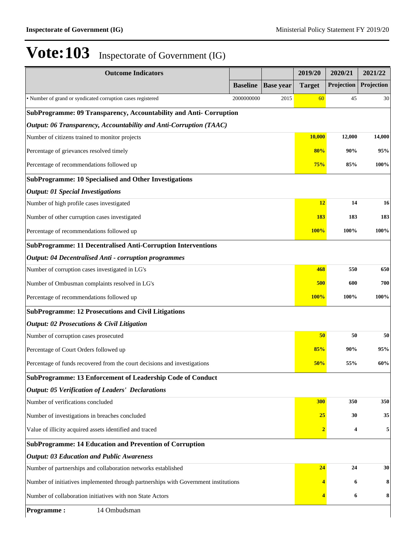| <b>Outcome Indicators</b>                                                           |                 |                  | 2019/20        | 2020/21    | 2021/22    |
|-------------------------------------------------------------------------------------|-----------------|------------------|----------------|------------|------------|
|                                                                                     | <b>Baseline</b> | <b>Base year</b> | <b>Target</b>  | Projection | Projection |
| · Number of grand or syndicated corruption cases registered                         | 2000000000      | 2015             | 60             | 45         | 30         |
| SubProgramme: 09 Transparency, Accountability and Anti- Corruption                  |                 |                  |                |            |            |
| Output: 06 Transparency, Accountability and Anti-Corruption (TAAC)                  |                 |                  |                |            |            |
| Number of citizens trained to monitor projects                                      |                 |                  | 10,000         | 12,000     | 14,000     |
| Percentage of grievances resolved timely                                            |                 |                  | 80%            | 90%        | 95%        |
| Percentage of recommendations followed up                                           |                 |                  | 75%            | 85%        | 100%       |
| <b>SubProgramme: 10 Specialised and Other Investigations</b>                        |                 |                  |                |            |            |
| <b>Output: 01 Special Investigations</b>                                            |                 |                  |                |            |            |
| Number of high profile cases investigated                                           |                 |                  | 12             | 14         | 16         |
| Number of other curruption cases investigated                                       |                 |                  | <b>183</b>     | 183        | 183        |
| Percentage of recommendations followed up                                           |                 |                  | <b>100%</b>    | 100%       | 100%       |
| <b>SubProgramme: 11 Decentralised Anti-Corruption Interventions</b>                 |                 |                  |                |            |            |
| <b>Output: 04 Decentralised Anti - corruption programmes</b>                        |                 |                  |                |            |            |
| Number of corruption cases investigated in LG's                                     |                 |                  | 468            | 550        | 650        |
| Number of Ombusman complaints resolved in LG's                                      |                 |                  | 500            | 600        | 700        |
| Percentage of recommendations followed up                                           |                 |                  | <b>100%</b>    | 100%       | 100%       |
| <b>SubProgramme: 12 Prosecutions and Civil Litigations</b>                          |                 |                  |                |            |            |
| <b>Output: 02 Prosecutions &amp; Civil Litigation</b>                               |                 |                  |                |            |            |
| Number of corruption cases prosecuted                                               |                 |                  | 50             | 50         | 50         |
| Percentage of Court Orders followed up                                              |                 |                  | 85%            | 90%        | 95%        |
| Percentage of funds recovered from the court decisions and investigations           |                 |                  | 50%            | 55%        | 60%        |
| SubProgramme: 13 Enforcement of Leadership Code of Conduct                          |                 |                  |                |            |            |
| <b>Output: 05 Verification of Leaders' Declarations</b>                             |                 |                  |                |            |            |
| Number of verifications concluded                                                   |                 |                  | 300            | 350        | 350        |
| Number of investigations in breaches concluded                                      |                 |                  | <b>25</b>      | 30         | 35         |
| Value of illicity acquired assets identified and traced                             |                 |                  | $\overline{2}$ | 4          | 5          |
| <b>SubProgramme: 14 Education and Prevention of Corruption</b>                      |                 |                  |                |            |            |
| <b>Output: 03 Education and Public Awareness</b>                                    |                 |                  |                |            |            |
| Number of partnerships and collaboration networks established                       |                 |                  | 24             | 24         | 30         |
| Number of initiatives implemented through partnerships with Government institutions |                 |                  |                | 6          | 8          |
| Number of collaboration initiatives with non State Actors                           |                 |                  |                | 6          | 8          |
| 14 Ombudsman<br><b>Programme:</b>                                                   |                 |                  |                |            |            |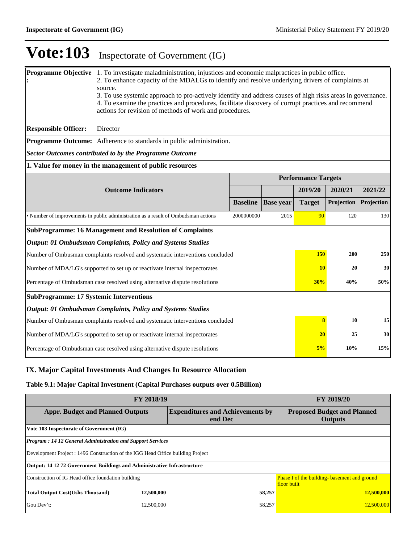| <b>Programme Objective</b> 1. To investigate maladministration, injustices and economic malpractices in public office.<br>2. To enhance capacity of the MDALGs to identify and resolve underlying drivers of complaints at<br>source.<br>3. To use systemic approach to pro-actively identify and address causes of high risks areas in governance.<br>4. To examine the practices and procedures, facilitate discovery of corrupt practices and recommend<br>actions for revision of methods of work and procedures. |                                                                                    |                 |                  |                            |            |            |  |  |
|-----------------------------------------------------------------------------------------------------------------------------------------------------------------------------------------------------------------------------------------------------------------------------------------------------------------------------------------------------------------------------------------------------------------------------------------------------------------------------------------------------------------------|------------------------------------------------------------------------------------|-----------------|------------------|----------------------------|------------|------------|--|--|
| <b>Responsible Officer:</b>                                                                                                                                                                                                                                                                                                                                                                                                                                                                                           | Director                                                                           |                 |                  |                            |            |            |  |  |
|                                                                                                                                                                                                                                                                                                                                                                                                                                                                                                                       | <b>Programme Outcome:</b> Adherence to standards in public administration.         |                 |                  |                            |            |            |  |  |
| <b>Sector Outcomes contributed to by the Programme Outcome</b>                                                                                                                                                                                                                                                                                                                                                                                                                                                        |                                                                                    |                 |                  |                            |            |            |  |  |
|                                                                                                                                                                                                                                                                                                                                                                                                                                                                                                                       | 1. Value for money in the management of public resources                           |                 |                  |                            |            |            |  |  |
|                                                                                                                                                                                                                                                                                                                                                                                                                                                                                                                       |                                                                                    |                 |                  | <b>Performance Targets</b> |            |            |  |  |
|                                                                                                                                                                                                                                                                                                                                                                                                                                                                                                                       | <b>Outcome Indicators</b>                                                          |                 |                  | 2019/20                    | 2020/21    | 2021/22    |  |  |
|                                                                                                                                                                                                                                                                                                                                                                                                                                                                                                                       |                                                                                    | <b>Baseline</b> | <b>Base year</b> | <b>Target</b>              | Projection | Projection |  |  |
|                                                                                                                                                                                                                                                                                                                                                                                                                                                                                                                       | • Number of improvements in public administration as a result of Ombudsman actions | 2000000000      | 2015             | 90                         | 120        | 130        |  |  |
|                                                                                                                                                                                                                                                                                                                                                                                                                                                                                                                       | <b>SubProgramme: 16 Management and Resolution of Complaints</b>                    |                 |                  |                            |            |            |  |  |
|                                                                                                                                                                                                                                                                                                                                                                                                                                                                                                                       | <b>Output: 01 Ombudsman Complaints, Policy and Systems Studies</b>                 |                 |                  |                            |            |            |  |  |
|                                                                                                                                                                                                                                                                                                                                                                                                                                                                                                                       | Number of Ombusman complaints resolved and systematic interventions concluded      |                 |                  | 150                        | 200        | 250        |  |  |
|                                                                                                                                                                                                                                                                                                                                                                                                                                                                                                                       | Number of MDA/LG's supported to set up or reactivate internal inspectorates        |                 |                  | <b>10</b>                  | 20         | 30         |  |  |
|                                                                                                                                                                                                                                                                                                                                                                                                                                                                                                                       | Percentage of Ombudsman case resolved using alternative dispute resolutions        |                 |                  | 30%                        | 40%        | 50%        |  |  |
| <b>SubProgramme: 17 Systemic Interventions</b>                                                                                                                                                                                                                                                                                                                                                                                                                                                                        |                                                                                    |                 |                  |                            |            |            |  |  |
|                                                                                                                                                                                                                                                                                                                                                                                                                                                                                                                       | Output: 01 Ombudsman Complaints, Policy and Systems Studies                        |                 |                  |                            |            |            |  |  |
|                                                                                                                                                                                                                                                                                                                                                                                                                                                                                                                       | Number of Ombusman complaints resolved and systematic interventions concluded      |                 |                  | $\overline{\mathbf{8}}$    | 10         | 15         |  |  |
|                                                                                                                                                                                                                                                                                                                                                                                                                                                                                                                       | Number of MDA/LG's supported to set up or reactivate internal inspectorates        |                 |                  | 20                         | 25         | 30         |  |  |
|                                                                                                                                                                                                                                                                                                                                                                                                                                                                                                                       | Percentage of Ombudsman case resolved using alternative dispute resolutions        |                 |                  | 5%                         | 10%        | 15%        |  |  |

#### **IX. Major Capital Investments And Changes In Resource Allocation**

### **Table 9.1: Major Capital Investment (Capital Purchases outputs over 0.5Billion)**

| FY 2018/19                                                                      | <b>FY 2019/20</b>                                                                             |        |                                                             |  |  |  |  |
|---------------------------------------------------------------------------------|-----------------------------------------------------------------------------------------------|--------|-------------------------------------------------------------|--|--|--|--|
|                                                                                 | <b>Appr. Budget and Planned Outputs</b><br><b>Expenditures and Achievements by</b><br>end Dec |        |                                                             |  |  |  |  |
| Vote 103 Inspectorate of Government (IG)                                        |                                                                                               |        |                                                             |  |  |  |  |
|                                                                                 | <b>Program: 14 12 General Administration and Support Services</b>                             |        |                                                             |  |  |  |  |
| Development Project : 1496 Construction of the IGG Head Office building Project |                                                                                               |        |                                                             |  |  |  |  |
| <b>Output: 14 12 72 Government Buildings and Administrative Infrastructure</b>  |                                                                                               |        |                                                             |  |  |  |  |
| Construction of IG Head office foundation building                              |                                                                                               |        | Phase I of the building- basement and ground<br>floor built |  |  |  |  |
| <b>Total Output Cost (Ushs Thousand)</b>                                        | 12,500,000                                                                                    | 58,257 | 12,500,000                                                  |  |  |  |  |
| Gou Dev't:                                                                      | 12,500,000                                                                                    | 58,257 | 12,500,000                                                  |  |  |  |  |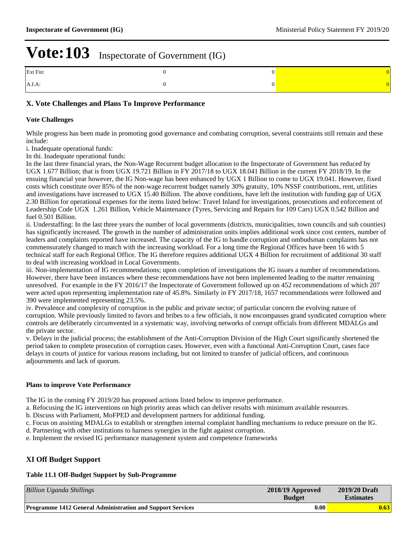| Ext Fin:  |  |
|-----------|--|
| $A.I.A$ : |  |

#### **X. Vote Challenges and Plans To Improve Performance**

#### **Vote Challenges**

While progress has been made in promoting good governance and combating corruption, several constraints still remain and these include:

i. Inadequate operational funds:

In thi. Inadequate operational funds:

In the last three financial years, the Non-Wage Recurrent budget allocation to the Inspectorate of Government has reduced by UGX 1.677 Billion; that is from UGX 19.721 Billion in FY 2017/18 to UGX 18.041 Billion in the current FY 2018/19. In the ensuing financial year however, the IG Non-wage has been enhanced by UGX 1 Billion to come to UGX 19.041. However, fixed costs which constitute over 85% of the non-wage recurrent budget namely 30% gratuity, 10% NSSF contributions, rent, utilities and investigations have increased to UGX 15.40 Billion. The above conditions, have left the institution with funding gap of UGX 2.30 Billion for operational expenses for the items listed below: Travel Inland for investigations, prosecutions and enforcement of Leadership Code UGX 1.261 Billion, Vehicle Maintenance (Tyres, Servicing and Repairs for 109 Cars) UGX 0.542 Billion and fuel 0.501 Billion.

ii. Understaffing: In the last three years the number of local governments (districts, municipalities, town councils and sub counties) has significantly increased. The growth in the number of administration units implies additional work since cost centers, number of leaders and complaints reported have increased. The capacity of the IG to handle corruption and ombudsman complaints has not commensurately changed to match with the increasing workload. For a long time the Regional Offices have been 16 with 5 technical staff for each Regional Office. The IG therefore requires additional UGX 4 Billion for recruitment of additional 30 staff to deal with increasing workload in Local Governments.

iii. Non-implementation of IG recommendations; upon completion of investigations the IG issues a number of recommendations. However, there have been instances where these recommendations have not been implemented leading to the matter remaining unresolved. For example in the FY 2016/17 the Inspectorate of Government followed up on 452 recommendations of which 207 were acted upon representing implementation rate of 45.8%. Similarly in FY 2017/18, 1657 recommendations were followed and 390 were implemented representing 23.5%.

iv. Prevalence and complexity of corruption in the public and private sector; of particular concern the evolving nature of corruption. While previously limited to favors and bribes to a few officials, it now encompasses grand syndicated corruption where controls are deliberately circumvented in a systematic way, involving networks of corrupt officials from different MDALGs and the private sector.

v. Delays in the judicial process; the establishment of the Anti-Corruption Division of the High Court significantly shortened the period taken to complete prosecution of corruption cases. However, even with a functional Anti-Corruption Court, cases face delays in courts of justice for various reasons including, but not limited to transfer of judicial officers, and continuous adjournments and lack of quorum.

#### **Plans to improve Vote Performance**

The IG in the coming FY 2019/20 has proposed actions listed below to improve performance.

a. Refocusing the IG interventions on high priority areas which can deliver results with minimum available resources.

b. Discuss with Parliament, MoFPED and development partners for additional funding.

c. Focus on assisting MDALGs to establish or strengthen internal complaint handling mechanisms to reduce pressure on the IG.

- d. Partnering with other institutions to harness synergies in the fight against corruption.
- e. Implement the revised IG performance management system and competence frameworks

#### **XI Off Budget Support**

#### **Table 11.1 Off-Budget Support by Sub-Programme**

| <b>Billion Uganda Shillings</b>                                   | $2018/19$ Approved<br><b>Budget</b> | 2019/20 Draft<br><b>Estimates</b> |
|-------------------------------------------------------------------|-------------------------------------|-----------------------------------|
| <b>Programme 1412 General Administration and Support Services</b> | 0.00                                | 0.63                              |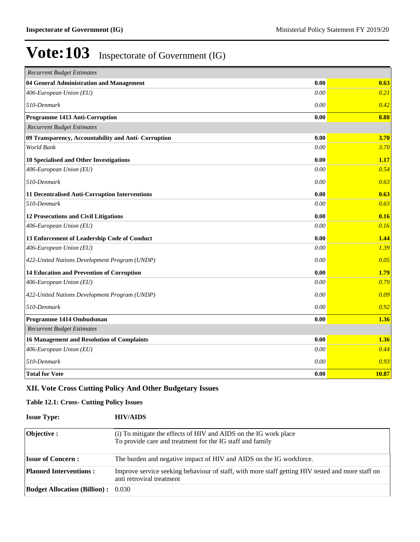| <b>Recurrent Budget Estimates</b>                    |      |       |
|------------------------------------------------------|------|-------|
| 04 General Administration and Management             | 0.00 | 0.63  |
| 406-European Union (EU)                              | 0.00 | 0.21  |
| 510-Denmark                                          | 0.00 | 0.42  |
| Programme 1413 Anti-Corruption                       | 0.00 | 8.88  |
| <b>Recurrent Budget Estimates</b>                    |      |       |
| 09 Transparency, Accountability and Anti- Corruption | 0.00 | 3.70  |
| World Bank                                           | 0.00 | 3.70  |
| 10 Specialised and Other Investigations              | 0.00 | 1.17  |
| 406-European Union (EU)                              | 0.00 | 0.54  |
| 510-Denmark                                          | 0.00 | 0.63  |
| 11 Decentralised Anti-Corruption Interventions       | 0.00 | 0.63  |
| 510-Denmark                                          | 0.00 | 0.63  |
| 12 Prosecutions and Civil Litigations                | 0.00 | 0.16  |
| 406-European Union (EU)                              | 0.00 | 0.16  |
| 13 Enforcement of Leadership Code of Conduct         | 0.00 | 1.44  |
| 406-European Union (EU)                              | 0.00 | 1.39  |
| 422-United Nations Development Program (UNDP)        | 0.00 | 0.05  |
| <b>14 Education and Prevention of Corruption</b>     | 0.00 | 1.79  |
| 406-European Union (EU)                              | 0.00 | 0.79  |
| 422-United Nations Development Program (UNDP)        | 0.00 | 0.09  |
| 510-Denmark                                          | 0.00 | 0.92  |
| Programme 1414 Ombudsman                             | 0.00 | 1.36  |
| <b>Recurrent Budget Estimates</b>                    |      |       |
| <b>16 Management and Resolution of Complaints</b>    | 0.00 | 1.36  |
| 406-European Union (EU)                              | 0.00 | 0.44  |
| 510-Denmark                                          | 0.00 | 0.93  |
| <b>Total for Vote</b>                                | 0.00 | 10.87 |

### **XII. Vote Cross Cutting Policy And Other Budgetary Issues**

#### **Table 12.1: Cross- Cutting Policy Issues**

| <b>Issue Type:</b>                        | <b>HIV/AIDS</b>                                                                                                               |
|-------------------------------------------|-------------------------------------------------------------------------------------------------------------------------------|
| <b>Objective :</b>                        | (i) To mitigate the effects of HIV and AIDS on the IG work place<br>To provide care and treatment for the IG staff and family |
| <b>Issue of Concern:</b>                  | The burden and negative impact of HIV and AIDS on the IG workforce.                                                           |
| <b>Planned Interventions:</b>             | Improve service seeking behaviour of staff, with more staff getting HIV tested and more staff on<br>anti retroviral treatment |
| <b>Budget Allocation (Billion):</b> 0.030 |                                                                                                                               |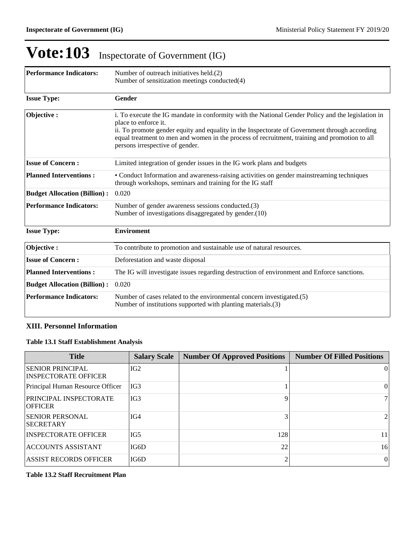| <b>Performance Indicators:</b>      | Number of outreach initiatives held.(2)                                                                                                                                                                                                                                                                                                                        |  |  |  |  |  |
|-------------------------------------|----------------------------------------------------------------------------------------------------------------------------------------------------------------------------------------------------------------------------------------------------------------------------------------------------------------------------------------------------------------|--|--|--|--|--|
|                                     | Number of sensitization meetings conducted(4)                                                                                                                                                                                                                                                                                                                  |  |  |  |  |  |
| <b>Issue Type:</b>                  | Gender                                                                                                                                                                                                                                                                                                                                                         |  |  |  |  |  |
| Objective:                          | i. To execute the IG mandate in conformity with the National Gender Policy and the legislation in<br>place to enforce it.<br>ii. To promote gender equity and equality in the Inspectorate of Government through according<br>equal treatment to men and women in the process of recruitment, training and promotion to all<br>persons irrespective of gender. |  |  |  |  |  |
| <b>Issue of Concern:</b>            | Limited integration of gender issues in the IG work plans and budgets                                                                                                                                                                                                                                                                                          |  |  |  |  |  |
| <b>Planned Interventions:</b>       | • Conduct Information and awareness-raising activities on gender mainstreaming techniques<br>through workshops, seminars and training for the IG staff                                                                                                                                                                                                         |  |  |  |  |  |
| <b>Budget Allocation (Billion):</b> | 0.020                                                                                                                                                                                                                                                                                                                                                          |  |  |  |  |  |
| <b>Performance Indicators:</b>      | Number of gender awareness sessions conducted.(3)<br>Number of investigations disaggregated by gender.(10)                                                                                                                                                                                                                                                     |  |  |  |  |  |
| <b>Issue Type:</b>                  | <b>Enviroment</b>                                                                                                                                                                                                                                                                                                                                              |  |  |  |  |  |
| Objective:                          | To contribute to promotion and sustainable use of natural resources.                                                                                                                                                                                                                                                                                           |  |  |  |  |  |
| <b>Issue of Concern:</b>            | Deforestation and waste disposal                                                                                                                                                                                                                                                                                                                               |  |  |  |  |  |
| <b>Planned Interventions:</b>       | The IG will investigate issues regarding destruction of environment and Enforce sanctions.                                                                                                                                                                                                                                                                     |  |  |  |  |  |
| <b>Budget Allocation (Billion):</b> | 0.020                                                                                                                                                                                                                                                                                                                                                          |  |  |  |  |  |
| <b>Performance Indicators:</b>      | Number of cases related to the environmental concern investigated.(5)<br>Number of institutions supported with planting materials.(3)                                                                                                                                                                                                                          |  |  |  |  |  |

#### **XIII. Personnel Information**

#### **Table 13.1 Staff Establishment Analysis**

| <b>Title</b>                                           | <b>Salary Scale</b> | <b>Number Of Approved Positions</b> | <b>Number Of Filled Positions</b> |
|--------------------------------------------------------|---------------------|-------------------------------------|-----------------------------------|
| <b>SENIOR PRINCIPAL</b><br><b>INSPECTORATE OFFICER</b> | IG <sub>2</sub>     |                                     | 0                                 |
| Principal Human Resource Officer                       | IG3                 |                                     | $\Omega$                          |
| <b>PRINCIPAL INSPECTORATE</b><br><b>OFFICER</b>        | IG3                 |                                     | 71                                |
| <b>SENIOR PERSONAL</b><br><b>SECRETARY</b>             | IG4                 |                                     | $\overline{2}$                    |
| <b>INSPECTORATE OFFICER</b>                            | IG5                 | 128                                 | 11                                |
| <b>ACCOUNTS ASSISTANT</b>                              | IG6D                | 22                                  | 16                                |
| <b>ASSIST RECORDS OFFICER</b>                          | IG6D                |                                     | $\Omega$                          |

#### **Table 13.2 Staff Recruitment Plan**